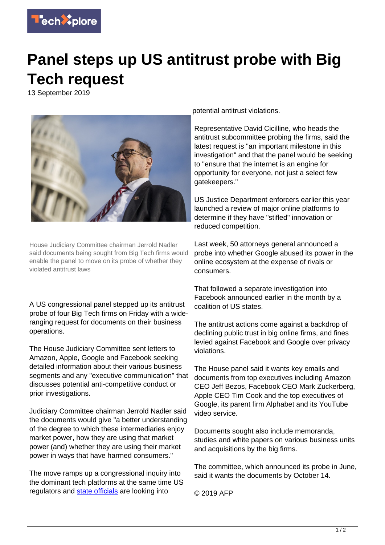

## **Panel steps up US antitrust probe with Big Tech request**

13 September 2019



House Judiciary Committee chairman Jerrold Nadler said documents being sought from Big Tech firms would enable the panel to move on its probe of whether they violated antitrust laws

A US congressional panel stepped up its antitrust probe of four Big Tech firms on Friday with a wideranging request for documents on their business operations.

The House Judiciary Committee sent letters to Amazon, Apple, Google and Facebook seeking detailed information about their various business segments and any "executive communication" that discusses potential anti-competitive conduct or prior investigations.

Judiciary Committee chairman Jerrold Nadler said the documents would give "a better understanding of the degree to which these intermediaries enjoy market power, how they are using that market power (and) whether they are using their market power in ways that have harmed consumers."

The move ramps up a congressional inquiry into the dominant tech platforms at the same time US regulators and [state officials](https://techxplore.com/tags/state+officials/) are looking into

potential antitrust violations.

Representative David Cicilline, who heads the antitrust subcommittee probing the firms, said the latest request is "an important milestone in this investigation" and that the panel would be seeking to "ensure that the internet is an engine for opportunity for everyone, not just a select few gatekeepers."

US Justice Department enforcers earlier this year launched a review of major online platforms to determine if they have "stifled" innovation or reduced competition.

Last week, 50 attorneys general announced a probe into whether Google abused its power in the online ecosystem at the expense of rivals or consumers.

That followed a separate investigation into Facebook announced earlier in the month by a coalition of US states.

The antitrust actions come against a backdrop of declining public trust in big online firms, and fines levied against Facebook and Google over privacy violations.

The House panel said it wants key emails and documents from top executives including Amazon CEO Jeff Bezos, Facebook CEO Mark Zuckerberg, Apple CEO Tim Cook and the top executives of Google, its parent firm Alphabet and its YouTube video service.

Documents sought also include memoranda, studies and white papers on various business units and acquisitions by the big firms.

The committee, which announced its probe in June, said it wants the documents by October 14.

© 2019 AFP